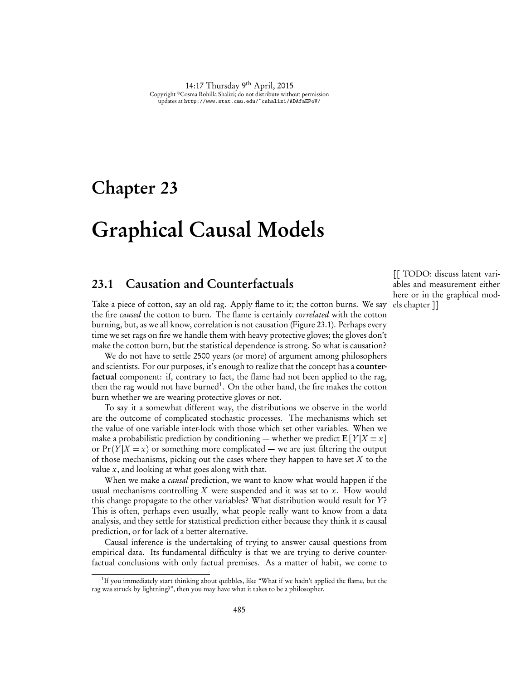14:17 Thursday 9th April, 2015 Copyright ©Cosma Rohilla Shalizi; do not distribute without permission updates at http://www.stat.cmu.edu/~cshalizi/ADAfaEPoV/

## Chapter 23

# Graphical Causal Models

## 23.1 Causation and Counterfactuals

Take a piece of cotton, say an old rag. Apply flame to it; the cotton burns. We say the fire *caused* the cotton to burn. The flame is certainly *correlated* with the cotton burning, but, as we all know, correlation is not causation (Figure 23.1). Perhaps every time we set rags on fire we handle them with heavy protective gloves; the gloves don't make the cotton burn, but the statistical dependence is strong. So what is causation?

We do not have to settle 2500 years (or more) of argument among philosophers and scientists. For our purposes, it's enough to realize that the concept has a counterfactual component: if, contrary to fact, the flame had not been applied to the rag, then the rag would not have burned<sup>1</sup>. On the other hand, the fire makes the cotton burn whether we are wearing protective gloves or not.

To say it a somewhat different way, the distributions we observe in the world are the outcome of complicated stochastic processes. The mechanisms which set the value of one variable inter-lock with those which set other variables. When we make a probabilistic prediction by conditioning — whether we predict  $E[Y|X=x]$ or  $Pr(Y|X=x)$  or something more complicated — we are just filtering the output of those mechanisms, picking out the cases where they happen to have set *X* to the value *x*, and looking at what goes along with that.

When we make a *causal* prediction, we want to know what would happen if the usual mechanisms controlling *X* were suspended and it was *set* to *x*. How would this change propagate to the other variables? What distribution would result for *Y*? This is often, perhaps even usually, what people really want to know from a data analysis, and they settle for statistical prediction either because they think it *is* causal prediction, or for lack of a better alternative.

Causal inference is the undertaking of trying to answer causal questions from empirical data. Its fundamental difficulty is that we are trying to derive counterfactual conclusions with only factual premises. As a matter of habit, we come to

[[ TODO: discuss latent variables and measurement either here or in the graphical models chapter ]]

<sup>&</sup>lt;sup>1</sup>If you immediately start thinking about quibbles, like "What if we hadn't applied the flame, but the rag was struck by lightning?", then you may have what it takes to be a philosopher.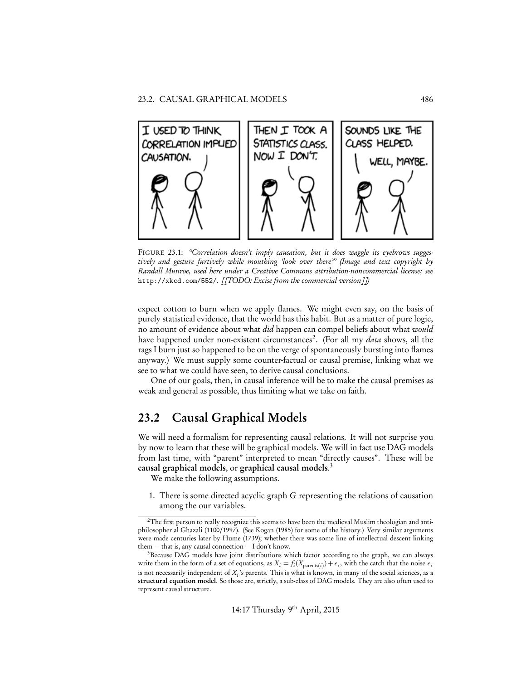

FIGURE 23.1: *"Correlation doesn't imply causation, but it does waggle its eyebrows suggestively and gesture furtively while mouthing 'look over there"' (Image and text copyright by Randall Munroe, used here under a Creative Commons attribution-noncommercial license; see* http://xkcd.com/552/*. [[TODO: Excise from the commercial version]])*

expect cotton to burn when we apply flames. We might even say, on the basis of purely statistical evidence, that the world has this habit. But as a matter of pure logic, no amount of evidence about what *did* happen can compel beliefs about what *would* have happened under non-existent circumstances<sup>2</sup>. (For all my *data* shows, all the rags I burn just so happened to be on the verge of spontaneously bursting into flames anyway.) We must supply some counter-factual or causal premise, linking what we see to what we could have seen, to derive causal conclusions.

One of our goals, then, in causal inference will be to make the causal premises as weak and general as possible, thus limiting what we take on faith.

## 23.2 Causal Graphical Models

We will need a formalism for representing causal relations. It will not surprise you by now to learn that these will be graphical models. We will in fact use DAG models from last time, with "parent" interpreted to mean "directly causes". These will be causal graphical models, or graphical causal models. 3

We make the following assumptions.

1. There is some directed acyclic graph *G* representing the relations of causation among the our variables.

 ${}^{2}$ The first person to really recognize this seems to have been the medieval Muslim theologian and antiphilosopher al Ghazali (1100/1997). (See Kogan (1985) for some of the history.) Very similar arguments were made centuries later by Hume (1739); whether there was some line of intellectual descent linking them — that is, any causal connection — I don't know.

<sup>&</sup>lt;sup>3</sup>Because DAG models have joint distributions which factor according to the graph, we can always write them in the form of a set of equations, as  $X_i = f_i(X_{\text{parents}(i)}) + \epsilon_i$ , with the catch that the noise  $\epsilon_i$ is not necessarily independent of *Xi* 's parents. This is what is known, in many of the social sciences, as a structural equation model. So those are, strictly, a sub-class of DAG models. They are also often used to represent causal structure.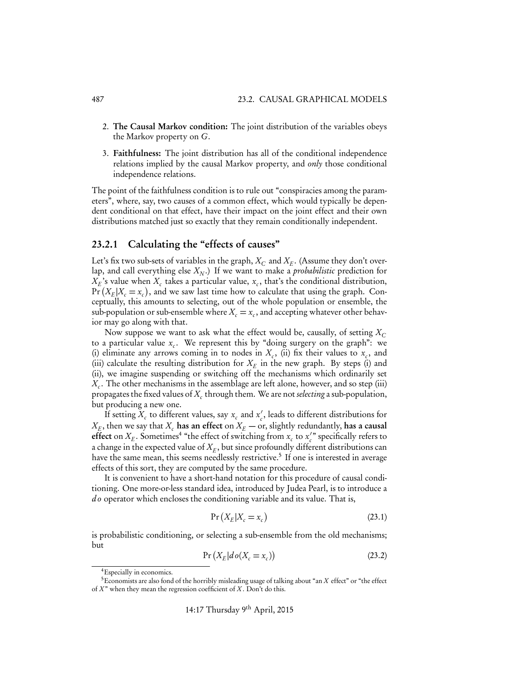- 2. The Causal Markov condition: The joint distribution of the variables obeys the Markov property on *G*.
- 3. Faithfulness: The joint distribution has all of the conditional independence relations implied by the causal Markov property, and *only* those conditional independence relations.

The point of the faithfulness condition is to rule out "conspiracies among the parameters", where, say, two causes of a common effect, which would typically be dependent conditional on that effect, have their impact on the joint effect and their own distributions matched just so exactly that they remain conditionally independent.

#### 23.2.1 Calculating the "effects of causes"

Let's fix two sub-sets of variables in the graph,  $X_C$  and  $X_F$ . (Assume they don't overlap, and call everything else  $X_N$ .) If we want to make a *probabilistic* prediction for  $X_E$ 's value when  $X_c$  takes a particular value,  $x_c$ , that's the conditional distribution,  $Pr(X_E|X_c = x_c)$ , and we saw last time how to calculate that using the graph. Conceptually, this amounts to selecting, out of the whole population or ensemble, the sub-population or sub-ensemble where  $X_c = x_c$ , and accepting whatever other behavior may go along with that.

Now suppose we want to ask what the effect would be, causally, of setting  $X_c$ to a particular value  $x_c$ . We represent this by "doing surgery on the graph": we (i) eliminate any arrows coming in to nodes in  $X_c$ , (ii) fix their values to  $x_c$ , and (iii) calculate the resulting distribution for  $X_E$  in the new graph. By steps (i) and (ii), we imagine suspending or switching off the mechanisms which ordinarily set *X<sub>c</sub>*. The other mechanisms in the assemblage are left alone, however, and so step (iii) propagates the fixed values of *Xc* through them. We are not *selecting* a sub-population, but producing a new one.

If setting  $X_c$  to different values, say  $x_c$  and  $x_c'$ , leads to different distributions for  $X_E$ , then we say that  $X_c$  has an effect on  $X_E$  — or, slightly redundantly, has a causal effect on  $X_E$ . Sometimes<sup>4</sup> "the effect of switching from  $x_c$  to  $x_c^{'}$  specifically refers to a change in the expected value of  $X_F$ , but since profoundly different distributions can have the same mean, this seems needlessly restrictive.<sup>5</sup> If one is interested in average effects of this sort, they are computed by the same procedure.

It is convenient to have a short-hand notation for this procedure of causal conditioning. One more-or-less standard idea, introduced by Judea Pearl, is to introduce a *d o* operator which encloses the conditioning variable and its value. That is,

$$
\Pr\left(X_E|X_c=x_c\right) \tag{23.1}
$$

is probabilistic conditioning, or selecting a sub-ensemble from the old mechanisms; but

$$
Pr(X_E|do(X_c = x_c))
$$
\n(23.2)

<sup>4</sup>Especially in economics.

<sup>5</sup>Economists are also fond of the horribly misleading usage of talking about "an *X* effect" or "the effect of *X* " when they mean the regression coefficient of *X* . Don't do this.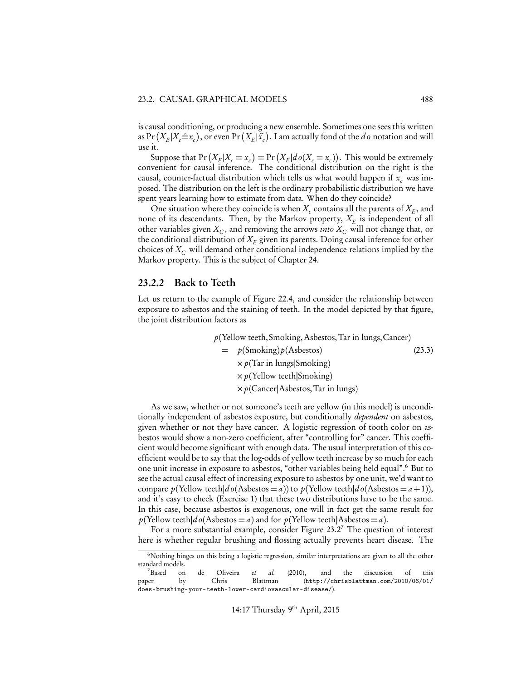is causal conditioning, or producing a new ensemble. Sometimes one sees this written as  $Pr(X_E|X_c=x_c)$ , or even  $Pr(X_E|\hat{x}_c)$ . I am actually fond of the *do* notation and will use it.

Suppose that  $Pr(X_E | X_c = x_c) = Pr(X_E | do(X_c = x_c))$ . This would be extremely convenient for causal inference. The conditional distribution on the right is the causal, counter-factual distribution which tells us what would happen if  $x_c$  was imposed. The distribution on the left is the ordinary probabilistic distribution we have spent years learning how to estimate from data. When do they coincide?

One situation where they coincide is when  $X_c$  contains all the parents of  $X_F$ , and none of its descendants. Then, by the Markov property,  $X_F$  is independent of all other variables given  $X_C$ , and removing the arrows *into*  $X_C$  will not change that, or the conditional distribution of  $X_E$  given its parents. Doing causal inference for other choices of *XC* will demand other conditional independence relations implied by the Markov property. This is the subject of Chapter 24.

#### 23.2.2 Back to Teeth

Let us return to the example of Figure 22.4, and consider the relationship between exposure to asbestos and the staining of teeth. In the model depicted by that figure, the joint distribution factors as

> *p*(Yellow teeth, Smoking,Asbestos,Tar in lungs,Cancer)  $= p(Smoking) p(Asbestos)$  (23.3) ⇥*p*(Tar in lungs*|*Smoking) ⇥*p*(Yellow teeth*|*Smoking) ⇥*p*(Cancer*|*Asbestos,Tar in lungs)

As we saw, whether or not someone's teeth are yellow (in this model) is unconditionally independent of asbestos exposure, but conditionally *dependent* on asbestos, given whether or not they have cancer. A logistic regression of tooth color on asbestos would show a non-zero coefficient, after "controlling for" cancer. This coefficient would become significant with enough data. The usual interpretation of this coefficient would be to say that the log-odds of yellow teeth increase by so much for each one unit increase in exposure to asbestos, "other variables being held equal".6 But to see the actual causal effect of increasing exposure to asbestos by one unit, we'd want to compare  $p(Yellow teeth|do(Asbestos = a))$  to  $p(Yellow teeth|do(Asbestos = a+1)),$ and it's easy to check (Exercise 1) that these two distributions have to be the same. In this case, because asbestos is exogenous, one will in fact get the same result for  $p$ (Yellow teeth $|d\rho(As_{\text{bestos}} = a)$  and for  $p(As_{\text{bestos}} = a)$ .

For a more substantial example, consider Figure 23.2<sup>7</sup> The question of interest here is whether regular brushing and flossing actually prevents heart disease. The

<sup>6</sup>Nothing hinges on this being a logistic regression, similar interpretations are given to all the other standard models.

<sup>7</sup>Based on de Oliveira *et al.* (2010), and the discussion of this paper by Chris Blattman (http://chrisblattman.com/2010/06/01/ does-brushing-your-teeth-lower-cardiovascular-disease/).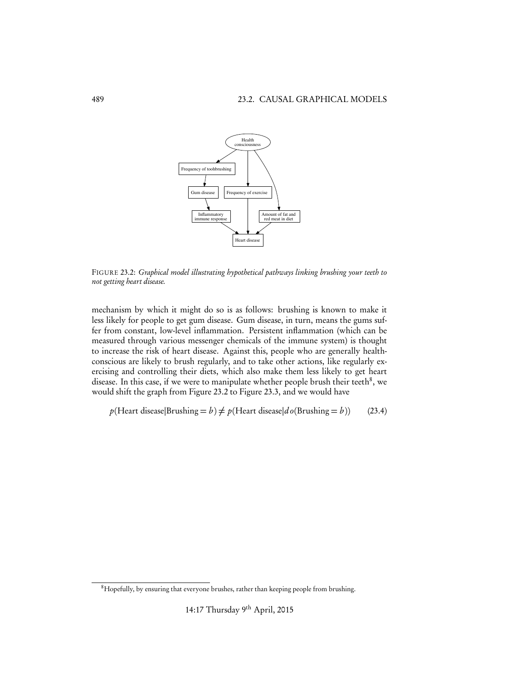

FIGURE 23.2: *Graphical model illustrating hypothetical pathways linking brushing your teeth to not getting heart disease.*

mechanism by which it might do so is as follows: brushing is known to make it less likely for people to get gum disease. Gum disease, in turn, means the gums suffer from constant, low-level inflammation. Persistent inflammation (which can be measured through various messenger chemicals of the immune system) is thought to increase the risk of heart disease. Against this, people who are generally healthconscious are likely to brush regularly, and to take other actions, like regularly exercising and controlling their diets, which also make them less likely to get heart disease. In this case, if we were to manipulate whether people brush their teeth<sup>8</sup>, we would shift the graph from Figure 23.2 to Figure 23.3, and we would have

 $p$ (Heart disease|Brushing = *b*)  $\neq$  *p*(Heart disease|*d o*(Brushing = *b*)) (23.4)

<sup>&</sup>lt;sup>8</sup>Hopefully, by ensuring that everyone brushes, rather than keeping people from brushing.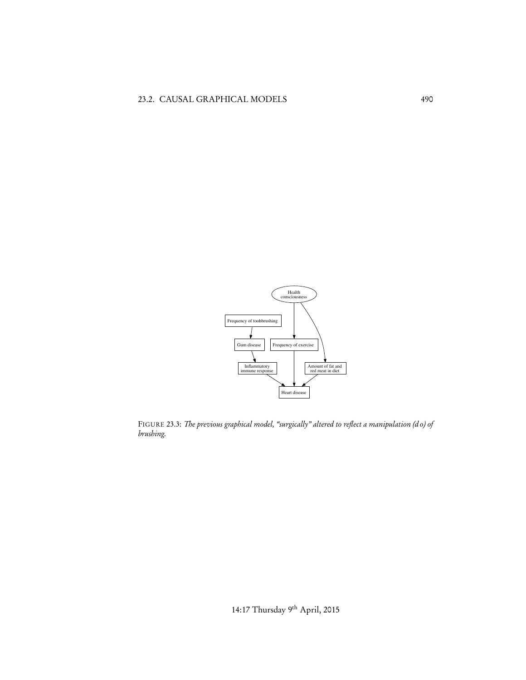

FIGURE 23.3: *The previous graphical model, "surgically" altered to reflect a manipulation (d o) of brushing.*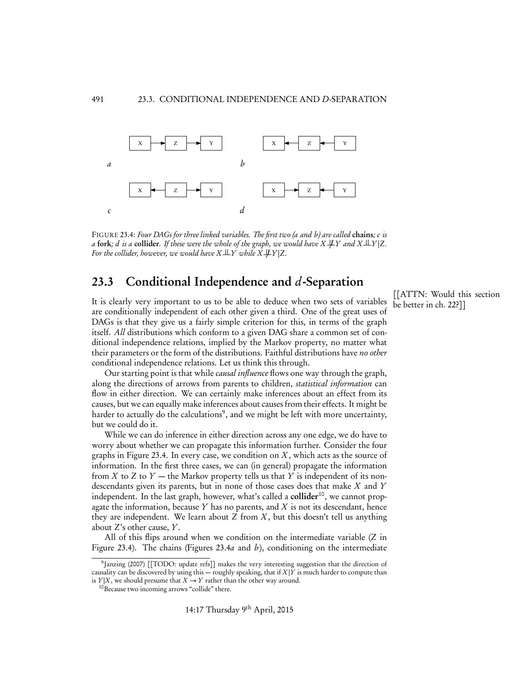

FIGURE 23.4: *Four DAGs for three linked variables. The first two (a and b) are called* chains*; c is a* fork; *d is a* collider. *If these were the whole of the graph, we would have*  $X \not\perp Y$  and  $X \perp Y | Z$ . *For the collider, however, we would have*  $X \perp Y$  while  $X \not\perp Y$  |Z.

## 23.3 Conditional Independence and *d*-Separation

It is clearly very important to us to be able to deduce when two sets of variables are conditionally independent of each other given a third. One of the great uses of DAGs is that they give us a fairly simple criterion for this, in terms of the graph itself. *All* distributions which conform to a given DAG share a common set of conditional independence relations, implied by the Markov property, no matter what their parameters or the form of the distributions. Faithful distributions have *no other* conditional independence relations. Let us think this through.

Our starting point is that while *causal influence* flows one way through the graph, along the directions of arrows from parents to children, *statistical information* can flow in either direction. We can certainly make inferences about an effect from its causes, but we can equally make inferences about causes from their effects. It might be harder to actually do the calculations<sup>9</sup>, and we might be left with more uncertainty, but we could do it.

While we can do inference in either direction across any one edge, we do have to worry about whether we can propagate this information further. Consider the four graphs in Figure 23.4. In every case, we condition on *X* , which acts as the source of information. In the first three cases, we can (in general) propagate the information from *X* to *Z* to *Y* — the Markov property tells us that *Y* is independent of its nondescendants given its parents, but in none of those cases does that make *X* and *Y* independent. In the last graph, however, what's called a **collider**<sup>10</sup>, we cannot propagate the information, because *Y* has no parents, and *X* is not its descendant, hence they are independent. We learn about  $Z$  from  $X$ , but this doesn't tell us anything about *Z*'s other cause, *Y*.

All of this flips around when we condition on the intermediate variable (*Z* in Figure 23.4). The chains (Figures 23.4*a* and *b*), conditioning on the intermediate

[[ATTN: Would this section<br>be better in ch. 22?]]

<sup>9</sup>Janzing (2007) [[TODO: update refs]] makes the very interesting suggestion that the direction of causality can be discovered by using this — roughly speaking, that if *X |Y* is much harder to compute than is *Y*|*X*, we should presume that *X*  $\rightarrow$  *Y* rather than the other way around. <sup>10</sup>Because two incoming arrows "collide" there.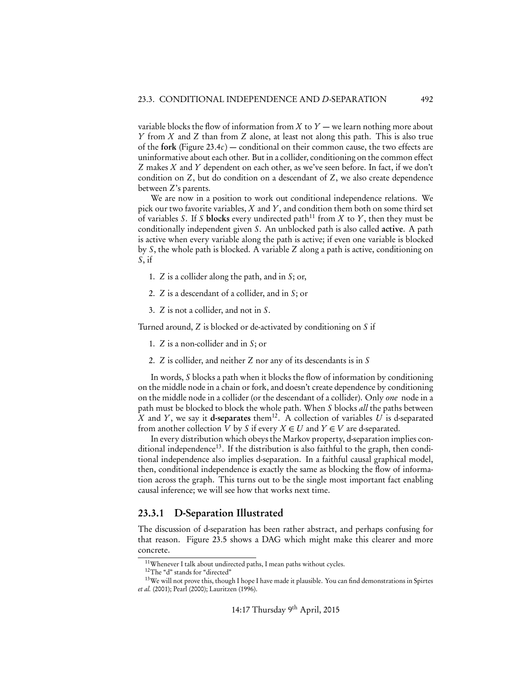variable blocks the flow of information from  $X$  to  $Y$  — we learn nothing more about *Y* from *X* and *Z* than from *Z* alone, at least not along this path. This is also true of the fork (Figure 23.4*c*) — conditional on their common cause, the two effects are uninformative about each other. But in a collider, conditioning on the common effect *Z* makes *X* and *Y* dependent on each other, as we've seen before. In fact, if we don't condition on *Z*, but do condition on a descendant of *Z*, we also create dependence between *Z*'s parents.

We are now in a position to work out conditional independence relations. We pick our two favorite variables, *X* and *Y*, and condition them both on some third set of variables *S*. If *S* blocks every undirected path<sup>11</sup> from *X* to *Y*, then they must be conditionally independent given *S*. An unblocked path is also called active. A path is active when every variable along the path is active; if even one variable is blocked by *S*, the whole path is blocked. A variable *Z* along a path is active, conditioning on *S*, if

- 1. *Z* is a collider along the path, and in *S*; or,
- 2. *Z* is a descendant of a collider, and in *S*; or
- 3. *Z* is not a collider, and not in *S*.

Turned around, *Z* is blocked or de-activated by conditioning on *S* if

- 1. *Z* is a non-collider and in *S*; or
- 2. *Z* is collider, and neither *Z* nor any of its descendants is in *S*

In words, *S* blocks a path when it blocks the flow of information by conditioning on the middle node in a chain or fork, and doesn't create dependence by conditioning on the middle node in a collider (or the descendant of a collider). Only *one* node in a path must be blocked to block the whole path. When *S* blocks *all* the paths between *X* and *Y*, we say it **d-separates** them<sup>12</sup>. A collection of variables *U* is d-separated from another collection *V* by *S* if every  $X \in U$  and  $Y \in V$  are d-separated.

In every distribution which obeys the Markov property, d-separation implies conditional independence<sup>13</sup>. If the distribution is also faithful to the graph, then conditional independence also implies d-separation. In a faithful causal graphical model, then, conditional independence is exactly the same as blocking the flow of information across the graph. This turns out to be the single most important fact enabling causal inference; we will see how that works next time.

#### 23.3.1 D-Separation Illustrated

The discussion of d-separation has been rather abstract, and perhaps confusing for that reason. Figure 23.5 shows a DAG which might make this clearer and more concrete.

<sup>11</sup>Whenever I talk about undirected paths, I mean paths without cycles.

<sup>12</sup>The "d" stands for "directed"

<sup>&</sup>lt;sup>13</sup>We will not prove this, though I hope I have made it plausible. You can find demonstrations in Spirtes *et al.* (2001); Pearl (2000); Lauritzen (1996).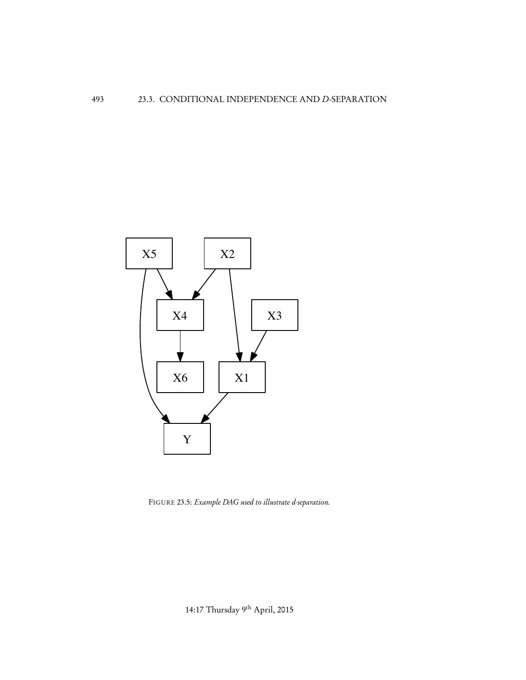

FIGURE 23.5: *Example DAG used to illustrate d-separation.*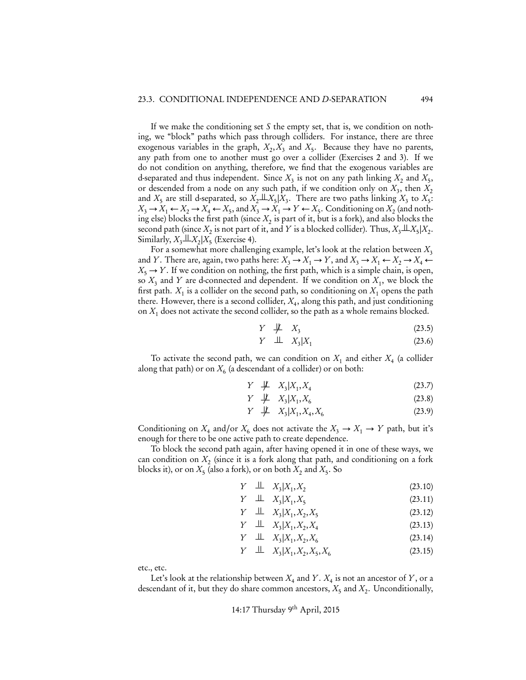If we make the conditioning set *S* the empty set, that is, we condition on nothing, we "block" paths which pass through colliders. For instance, there are three exogenous variables in the graph,  $X_2, X_3$  and  $X_5$ . Because they have no parents, any path from one to another must go over a collider (Exercises 2 and 3). If we do not condition on anything, therefore, we find that the exogenous variables are d-separated and thus independent. Since  $X_3$  is not on any path linking  $X_2$  and  $X_5$ , or descended from a node on any such path, if we condition only on  $X_3$ , then  $X_2$ and  $X_5$  are still d-separated, so  $X_2 \perp \!\!\! \perp X_5 | \bar{X}_3$ . There are two paths linking  $X_3$  to  $X_5$ :  $X_3 \rightarrow X_1 \leftarrow X_2 \rightarrow X_4 \leftarrow X_5$ , and  $X_3 \rightarrow X_1 \rightarrow Y \leftarrow X_5$ . Conditioning on  $X_2$  (and nothing else) blocks the first path (since  $X<sub>2</sub>$  is part of it, but is a fork), and also blocks the second path (since  $X_2$  is not part of it, and  $Y$  is a blocked collider). Thus,  $X_3 \perp X_5 | X_2$ . Similarly,  $X_3 \perp X_2 | X_5$  (Exercise 4).

For a somewhat more challenging example, let's look at the relation between *X*<sup>3</sup> and *Y*. There are, again, two paths here:  $X_3 \to X_1 \to Y$ , and  $X_3 \to X_1 \leftarrow X_2 \to X_4 \leftarrow$  $X_5 \rightarrow Y$ . If we condition on nothing, the first path, which is a simple chain, is open, so  $X_3$  and  $Y$  are d-connected and dependent. If we condition on  $X_1$ , we block the first path.  $X_1$  is a collider on the second path, so conditioning on  $X_1$  opens the path there. However, there is a second collider,  $X_4$ , along this path, and just conditioning on  $X_1$  does not activate the second collider, so the path as a whole remains blocked.

$$
Y \quad \not\!\!\!\perp \quad X_3 \tag{23.5}
$$

$$
Y \perp \perp X_3 | X_1 \tag{23.6}
$$

To activate the second path, we can condition on  $X_1$  and either  $X_4$  (a collider along that path) or on  $X<sub>6</sub>$  (a descendant of a collider) or on both:

$$
Y \not\perp\!\!\!\perp X_3 | X_1, X_4 \tag{23.7}
$$

$$
Y \not\perp\!\!\!\perp X_3 | X_1, X_6 \tag{23.8}
$$

 $Y \not\!\perp\!\!\!\perp X_3 | X_1, X_4, X_6$  (23.9)

Conditioning on  $X_4$  and/or  $X_6$  does not activate the  $X_3 \to X_1 \to Y$  path, but it's enough for there to be one active path to create dependence.

To block the second path again, after having opened it in one of these ways, we can condition on  $X_2$  (since it is a fork along that path, and conditioning on a fork blocks it), or on  $X_5$  (also a fork), or on both  $X_2$  and  $X_5$ . So

$$
Y \perp \!\!\!\perp X_3 | X_1, X_2 \tag{23.10}
$$

$$
Y \perp \!\!\!\perp X_3 | X_1, X_5 \tag{23.11}
$$

$$
Y \perp \!\!\!\perp X_3 | X_1, X_2, X_5 \tag{23.12}
$$

$$
Y \perp \!\!\!\perp X_3 | X_1, X_2, X_4 \tag{23.13}
$$

$$
Y \perp \!\!\!\perp X_3 | X_1, X_2, X_6 \tag{23.14}
$$

$$
Y \perp \!\!\!\perp X_3 | X_1, X_2, X_5, X_6 \tag{23.15}
$$

etc., etc.

Let's look at the relationship between  $X_4$  and  $Y$ .  $X_4$  is not an ancestor of  $Y$ , or a descendant of it, but they do share common ancestors,  $X_5$  and  $X_2$ . Unconditionally,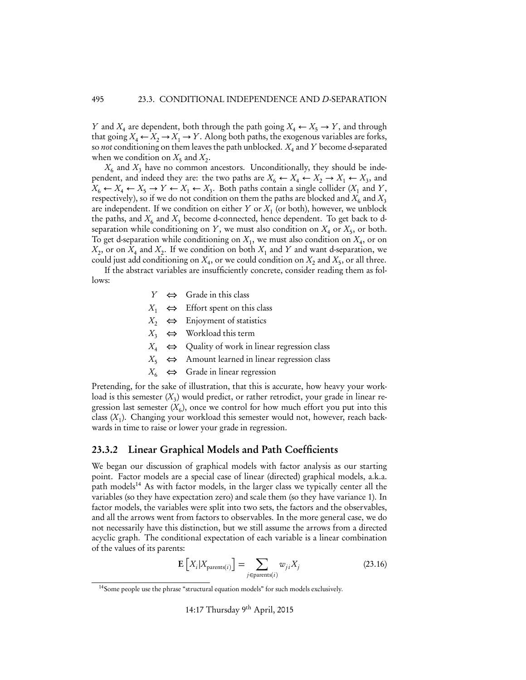*Y* and  $X_4$  are dependent, both through the path going  $X_4 \leftarrow X_5 \rightarrow Y$ , and through that going  $X_4 \leftarrow X_2 \rightarrow X_1 \rightarrow Y$ . Along both paths, the exogenous variables are forks, so *not* conditioning on them leaves the path unblocked. *X*<sup>4</sup> and *Y* become d-separated when we condition on  $X_5$  and  $X_2$ .

 $X<sub>6</sub>$  and  $X<sub>3</sub>$  have no common ancestors. Unconditionally, they should be independent, and indeed they are: the two paths are  $X_6 \leftarrow X_4 \leftarrow X_2 \rightarrow X_1 \leftarrow X_3$ , and  $X_6 \leftarrow X_4 \leftarrow X_5 \rightarrow Y \leftarrow X_1 \leftarrow X_3$ . Both paths contain a single collider  $(X_1 \text{ and } Y,$ respectively), so if we do not condition on them the paths are blocked and  $X_6$  and  $X_3$ are independent. If we condition on either  $Y$  or  $X_1$  (or both), however, we unblock the paths, and  $X_6$  and  $X_3$  become d-connected, hence dependent. To get back to dseparation while conditioning on *Y*, we must also condition on  $X_4$  or  $X_5$ , or both. To get d-separation while conditioning on  $X_1$ , we must also condition on  $X_4$ , or on  $X_2$ , or on  $X_4$  and  $X_2$ . If we condition on both  $X_1$  and  $Y$  and want d-separation, we could just add conditioning on  $X_4$ , or we could condition on  $X_2$  and  $X_5$ , or all three.

If the abstract variables are insufficiently concrete, consider reading them as follows:

- $Y \Leftrightarrow$  Grade in this class
- $X_1 \Leftrightarrow$  Effort spent on this class
- $X_2 \Leftrightarrow$  Enjoyment of statistics
- $X_3 \Leftrightarrow$  Workload this term
- $X_4 \Leftrightarrow$  Quality of work in linear regression class
- $X_5 \Leftrightarrow$  Amount learned in linear regression class
- $X_6 \Leftrightarrow$  Grade in linear regression

Pretending, for the sake of illustration, that this is accurate, how heavy your workload is this semester  $(X_3)$  would predict, or rather retrodict, your grade in linear regression last semester  $(X_6)$ , once we control for how much effort you put into this class (*X*1). Changing your workload this semester would not, however, reach backwards in time to raise or lower your grade in regression.

#### 23.3.2 Linear Graphical Models and Path Coefficients

We began our discussion of graphical models with factor analysis as our starting point. Factor models are a special case of linear (directed) graphical models, a.k.a. path models<sup>14</sup> As with factor models, in the larger class we typically center all the variables (so they have expectation zero) and scale them (so they have variance 1). In factor models, the variables were split into two sets, the factors and the observables, and all the arrows went from factors to observables. In the more general case, we do not necessarily have this distinction, but we still assume the arrows from a directed acyclic graph. The conditional expectation of each variable is a linear combination of the values of its parents:

$$
\mathbf{E}\left[X_i|X_{\text{parents}(i)}\right] = \sum_{j \in \text{parents}(i)} w_{ji} X_j \tag{23.16}
$$

14:17 Thursday 9th April, 2015

<sup>14</sup>Some people use the phrase "structural equation models" for such models exclusively.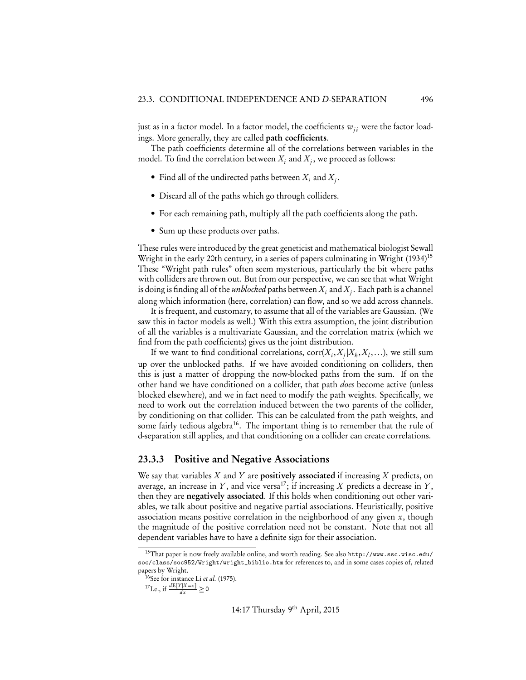just as in a factor model. In a factor model, the coefficients  $w_{ii}$  were the factor loadings. More generally, they are called path coefficients.

The path coefficients determine all of the correlations between variables in the model. To find the correlation between  $X_i$  and  $X_j$ , we proceed as follows:

- Find all of the undirected paths between  $X_i$  and  $X_j$ .
- Discard all of the paths which go through colliders.
- For each remaining path, multiply all the path coefficients along the path.
- Sum up these products over paths.

These rules were introduced by the great geneticist and mathematical biologist Sewall Wright in the early 20th century, in a series of papers culminating in Wright (1934)<sup>15</sup> These "Wright path rules" often seem mysterious, particularly the bit where paths with colliders are thrown out. But from our perspective, we can see that what Wright is doing is finding all of the *unblocked* paths between  $X_i$  and  $X_j$ . Each path is a channel along which information (here, correlation) can flow, and so we add across channels.

It is frequent, and customary, to assume that all of the variables are Gaussian. (We saw this in factor models as well.) With this extra assumption, the joint distribution of all the variables is a multivariate Gaussian, and the correlation matrix (which we find from the path coefficients) gives us the joint distribution.

If we want to find conditional correlations,  $corr(X_i, X_i | X_k, X_l, \ldots)$ , we still sum up over the unblocked paths. If we have avoided conditioning on colliders, then this is just a matter of dropping the now-blocked paths from the sum. If on the other hand we have conditioned on a collider, that path *does* become active (unless blocked elsewhere), and we in fact need to modify the path weights. Specifically, we need to work out the correlation induced between the two parents of the collider, by conditioning on that collider. This can be calculated from the path weights, and some fairly tedious algebra<sup>16</sup>. The important thing is to remember that the rule of d-separation still applies, and that conditioning on a collider can create correlations.

#### 23.3.3 Positive and Negative Associations

We say that variables *X* and *Y* are positively associated if increasing *X* predicts, on average, an increase in  $Y$ , and vice versa<sup>17</sup>; if increasing  $X$  predicts a decrease in  $Y$ , then they are negatively associated. If this holds when conditioning out other variables, we talk about positive and negative partial associations. Heuristically, positive association means positive correlation in the neighborhood of any given *x*, though the magnitude of the positive correlation need not be constant. Note that not all dependent variables have to have a definite sign for their association.

<sup>15</sup>That paper is now freely available online, and worth reading. See also http://www.ssc.wisc.edu/ soc/class/soc952/Wright/wright\_biblio.htm for references to, and in some cases copies of, related papers by Wright.

<sup>16</sup>See for instance Li *et al.* (1975).

 $^{17}$ I.e., if  $\frac{dE[Y|X=x]}{dx} \ge 0$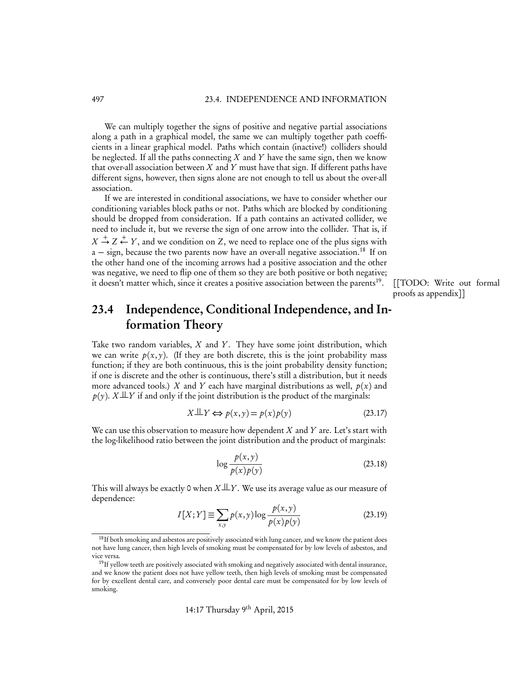We can multiply together the signs of positive and negative partial associations along a path in a graphical model, the same we can multiply together path coefficients in a linear graphical model. Paths which contain (inactive!) colliders should be neglected. If all the paths connecting *X* and *Y* have the same sign, then we know that over-all association between *X* and *Y* must have that sign. If different paths have different signs, however, then signs alone are not enough to tell us about the over-all association.

If we are interested in conditional associations, we have to consider whether our conditioning variables block paths or not. Paths which are blocked by conditioning should be dropped from consideration. If a path contains an activated collider, we need to include it, but we reverse the sign of one arrow into the collider. That is, if  $X \stackrel{+}{\rightarrow} Z \stackrel{+}{\leftarrow} Y$ , and we condition on *Z*, we need to replace one of the plus signs with  $a - sign$ , because the two parents now have an over-all negative association.<sup>18</sup> If on the other hand one of the incoming arrows had a positive association and the other was negative, we need to flip one of them so they are both positive or both negative; it doesn't matter which, since it creates a positive association between the parents<sup>19</sup>. [[TODO: Write out formal

proofs as appendix]]

## 23.4 Independence, Conditional Independence, and Information Theory

Take two random variables, *X* and *Y*. They have some joint distribution, which we can write  $p(x, y)$ . (If they are both discrete, this is the joint probability mass function; if they are both continuous, this is the joint probability density function; if one is discrete and the other is continuous, there's still a distribution, but it needs more advanced tools.) *X* and *Y* each have marginal distributions as well,  $p(x)$  and  $p(y)$ . *X*  $\perp\!\!\!\perp$ *Y* if and only if the joint distribution is the product of the marginals:

$$
X \perp Y \Leftrightarrow p(x, y) = p(x)p(y) \tag{23.17}
$$

We can use this observation to measure how dependent *X* and *Y* are. Let's start with the log-likelihood ratio between the joint distribution and the product of marginals:

$$
\log \frac{p(x, y)}{p(x)p(y)}\tag{23.18}
$$

This will always be exactly 0 when  $X \perp Y$ . We use its average value as our measure of dependence:

$$
I[X;Y] \equiv \sum_{x,y} p(x,y) \log \frac{p(x,y)}{p(x)p(y)} \tag{23.19}
$$

<sup>&</sup>lt;sup>18</sup>If both smoking and asbestos are positively associated with lung cancer, and we know the patient does not have lung cancer, then high levels of smoking must be compensated for by low levels of asbestos, and vice versa.

<sup>&</sup>lt;sup>19</sup>If yellow teeth are positively associated with smoking and negatively associated with dental insurance, and we know the patient does not have yellow teeth, then high levels of smoking must be compensated for by excellent dental care, and conversely poor dental care must be compensated for by low levels of smoking.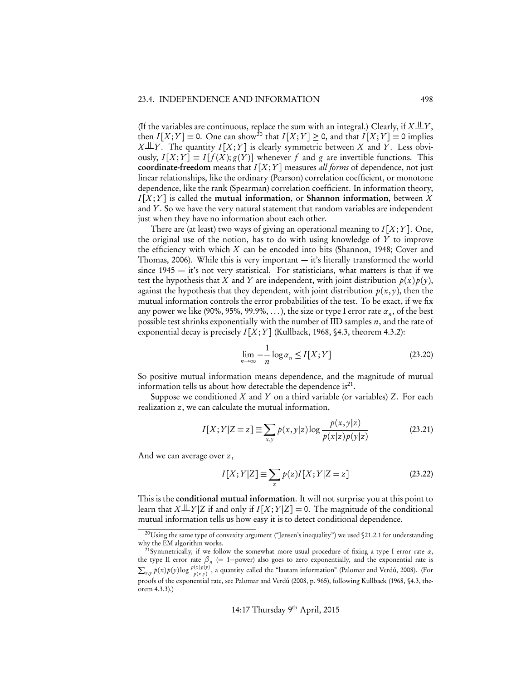(If the variables are continuous, replace the sum with an integral.) Clearly, if  $X \perp Y$ , then  $I[X;Y] = 0$ . One can show<sup>20</sup> that  $I[X;Y] \ge 0$ , and that  $I[X;Y] = 0$  implies  $X \perp Y$ . The quantity  $I[X;Y]$  is clearly symmetric between *X* and *Y*. Less obviously,  $I[X;Y] = I[f(X);g(Y)]$  whenever f and g are invertible functions. This coordinate-freedom means that *I* [*X* ;*Y*] measures *all forms* of dependence, not just linear relationships, like the ordinary (Pearson) correlation coefficient, or monotone dependence, like the rank (Spearman) correlation coefficient. In information theory,  $I[X;Y]$  is called the mutual information, or Shannon information, between  $X$ and *Y*. So we have the very natural statement that random variables are independent just when they have no information about each other.

There are (at least) two ways of giving an operational meaning to  $I[X;Y]$ . One, the original use of the notion, has to do with using knowledge of *Y* to improve the efficiency with which *X* can be encoded into bits (Shannon, 1948; Cover and Thomas, 2006). While this is very important — it's literally transformed the world since  $1945 - it$ 's not very statistical. For statisticians, what matters is that if we test the hypothesis that *X* and *Y* are independent, with joint distribution  $p(x)p(y)$ , against the hypothesis that they dependent, with joint distribution  $p(x, y)$ , then the mutual information controls the error probabilities of the test. To be exact, if we fix any power we like (90%, 95%, 99.9%, ...), the size or type I error rate  $\alpha_n$ , of the best possible test shrinks exponentially with the number of IID samples *n*, and the rate of exponential decay is precisely  $I[X;Y]$  (Kullback, 1968, §4.3, theorem 4.3.2):

$$
\lim_{n \to \infty} -\frac{1}{n} \log \alpha_n \le I[X;Y]
$$
\n(23.20)

So positive mutual information means dependence, and the magnitude of mutual information tells us about how detectable the dependence is $^{21}$ .

Suppose we conditioned *X* and *Y* on a third variable (or variables) *Z*. For each realization *z*, we can calculate the mutual information,

$$
I[X;Y|Z=z] \equiv \sum_{x,y} p(x,y|z) \log \frac{p(x,y|z)}{p(x|z)p(y|z)}
$$
(23.21)

And we can average over *z*,

$$
I[X;Y|Z] \equiv \sum_{z} p(z)I[X;Y|Z=z]
$$
\n(23.22)

This is the conditional mutual information. It will not surprise you at this point to learn that  $X \perp \!\!\!\perp Y|Z$  if and only if  $I[X;Y|Z] = 0$ . The magnitude of the conditional mutual information tells us how easy it is to detect conditional dependence.

<sup>&</sup>lt;sup>20</sup>Using the same type of convexity argument ("Jensen's inequality") we used §21.2.1 for understanding why the EM algorithm works.

<sup>21</sup>Symmetrically, if we follow the somewhat more usual procedure of fixing a type I error rate *↵*, the type II error rate  $\beta_n$  (= 1–power) also goes to zero exponentially, and the exponential rate is  $\sum_{x,y} p(x)p(y) \log \frac{p(x)p(y)}{p(x,y)}$ , a quantity called the "lautam information" (Palomar and Verdú, 2008). (For proofs of the exponential rate, see Palomar and Verdú (2008, p. 965), following Kullback (1968, §4.3, theorem 4.3.3).)